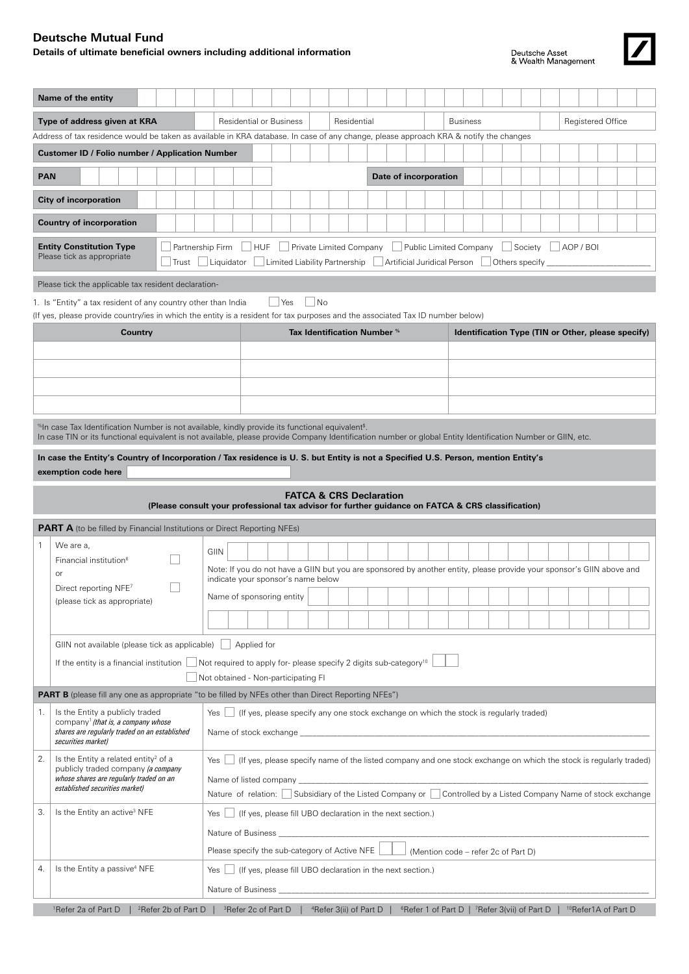## **Deutsche Mutual Fund**

## **Details of ultimate beneficial owners including additional information**





| Name of the entity                                                                                                                                                                                                                                                                                  |                                                                                                                          |                                    |                       |  |  |                 |  |  |  |  |                          |                                                    |
|-----------------------------------------------------------------------------------------------------------------------------------------------------------------------------------------------------------------------------------------------------------------------------------------------------|--------------------------------------------------------------------------------------------------------------------------|------------------------------------|-----------------------|--|--|-----------------|--|--|--|--|--------------------------|----------------------------------------------------|
| Type of address given at KRA                                                                                                                                                                                                                                                                        | <b>Residential or Business</b>                                                                                           | Residential                        |                       |  |  | <b>Business</b> |  |  |  |  | <b>Registered Office</b> |                                                    |
| Address of tax residence would be taken as available in KRA database. In case of any change, please approach KRA & notify the changes                                                                                                                                                               |                                                                                                                          |                                    |                       |  |  |                 |  |  |  |  |                          |                                                    |
| <b>Customer ID / Folio number / Application Number</b>                                                                                                                                                                                                                                              |                                                                                                                          |                                    |                       |  |  |                 |  |  |  |  |                          |                                                    |
| <b>PAN</b>                                                                                                                                                                                                                                                                                          |                                                                                                                          |                                    | Date of incorporation |  |  |                 |  |  |  |  |                          |                                                    |
| <b>City of incorporation</b>                                                                                                                                                                                                                                                                        |                                                                                                                          |                                    |                       |  |  |                 |  |  |  |  |                          |                                                    |
| <b>Country of incorporation</b>                                                                                                                                                                                                                                                                     |                                                                                                                          |                                    |                       |  |  |                 |  |  |  |  |                          |                                                    |
| <b>Entity Constitution Type</b><br>$\vert$ $\vert$ HUF<br>Private Limited Company<br>Partnership Firm<br>Public Limited Company<br>Society<br>$ $ AOP / BOI<br>Please tick as appropriate<br>  Limited Liability Partnership   Artificial Juridical Person<br>Others specify<br>Liquidator<br>Trust |                                                                                                                          |                                    |                       |  |  |                 |  |  |  |  |                          |                                                    |
| Please tick the applicable tax resident declaration-                                                                                                                                                                                                                                                |                                                                                                                          |                                    |                       |  |  |                 |  |  |  |  |                          |                                                    |
| 1. Is "Entity" a tax resident of any country other than India                                                                                                                                                                                                                                       | $ $ No<br>  Yes                                                                                                          |                                    |                       |  |  |                 |  |  |  |  |                          |                                                    |
| (If yes, please provide country/ies in which the entity is a resident for tax purposes and the associated Tax ID number below)<br>Country                                                                                                                                                           |                                                                                                                          | Tax Identification Number %        |                       |  |  |                 |  |  |  |  |                          | Identification Type (TIN or Other, please specify) |
|                                                                                                                                                                                                                                                                                                     |                                                                                                                          |                                    |                       |  |  |                 |  |  |  |  |                          |                                                    |
|                                                                                                                                                                                                                                                                                                     |                                                                                                                          |                                    |                       |  |  |                 |  |  |  |  |                          |                                                    |
|                                                                                                                                                                                                                                                                                                     |                                                                                                                          |                                    |                       |  |  |                 |  |  |  |  |                          |                                                    |
|                                                                                                                                                                                                                                                                                                     |                                                                                                                          |                                    |                       |  |  |                 |  |  |  |  |                          |                                                    |
| $\!{\rm s}$ In case Tax Identification Number is not available, kindly provide its functional equivalent $^{\rm s}$ .                                                                                                                                                                               |                                                                                                                          |                                    |                       |  |  |                 |  |  |  |  |                          |                                                    |
| In case TIN or its functional equivalent is not available, please provide Company Identification number or global Entity Identification Number or GIIN, etc.                                                                                                                                        |                                                                                                                          |                                    |                       |  |  |                 |  |  |  |  |                          |                                                    |
| In case the Entity's Country of Incorporation / Tax residence is U. S. but Entity is not a Specified U.S. Person, mention Entity's<br>exemption code here                                                                                                                                           |                                                                                                                          |                                    |                       |  |  |                 |  |  |  |  |                          |                                                    |
|                                                                                                                                                                                                                                                                                                     |                                                                                                                          |                                    |                       |  |  |                 |  |  |  |  |                          |                                                    |
|                                                                                                                                                                                                                                                                                                     | (Please consult your professional tax advisor for further guidance on FATCA & CRS classification)                        | <b>FATCA &amp; CRS Declaration</b> |                       |  |  |                 |  |  |  |  |                          |                                                    |
| <b>PART A</b> (to be filled by Financial Institutions or Direct Reporting NFEs)                                                                                                                                                                                                                     |                                                                                                                          |                                    |                       |  |  |                 |  |  |  |  |                          |                                                    |
| We are a,<br>$\mathbf{1}$                                                                                                                                                                                                                                                                           | GIIN                                                                                                                     |                                    |                       |  |  |                 |  |  |  |  |                          |                                                    |
| Financial institution <sup>6</sup><br>or                                                                                                                                                                                                                                                            | Note: If you do not have a GIIN but you are sponsored by another entity, please provide your sponsor's GIIN above and    |                                    |                       |  |  |                 |  |  |  |  |                          |                                                    |
| Direct reporting NFE7                                                                                                                                                                                                                                                                               | indicate your sponsor's name below                                                                                       |                                    |                       |  |  |                 |  |  |  |  |                          |                                                    |
| (please tick as appropriate)                                                                                                                                                                                                                                                                        | Name of sponsoring entity                                                                                                |                                    |                       |  |  |                 |  |  |  |  |                          |                                                    |
|                                                                                                                                                                                                                                                                                                     |                                                                                                                          |                                    |                       |  |  |                 |  |  |  |  |                          |                                                    |
| GIIN not available (please tick as applicable) $\Box$ Applied for                                                                                                                                                                                                                                   |                                                                                                                          |                                    |                       |  |  |                 |  |  |  |  |                          |                                                    |
| If the entity is a financial institution $\vert$ Not required to apply for-please specify 2 digits sub-category <sup>10</sup>                                                                                                                                                                       |                                                                                                                          |                                    |                       |  |  |                 |  |  |  |  |                          |                                                    |
| Not obtained - Non-participating FI<br><b>PART B</b> (please fill any one as appropriate "to be filled by NFEs other than Direct Reporting NFEs")                                                                                                                                                   |                                                                                                                          |                                    |                       |  |  |                 |  |  |  |  |                          |                                                    |
| Is the Entity a publicly traded<br>1.                                                                                                                                                                                                                                                               |                                                                                                                          |                                    |                       |  |  |                 |  |  |  |  |                          |                                                    |
| company <sup>1</sup> (that is, a company whose<br>shares are regularly traded on an established<br>securities market)                                                                                                                                                                               | Yes<br>(If yes, please specify any one stock exchange on which the stock is regularly traded)                            |                                    |                       |  |  |                 |  |  |  |  |                          |                                                    |
| 2.<br>Is the Entity a related entity <sup>2</sup> of a<br>publicly traded company (a company                                                                                                                                                                                                        | Yes<br>(If yes, please specify name of the listed company and one stock exchange on which the stock is regularly traded) |                                    |                       |  |  |                 |  |  |  |  |                          |                                                    |
| whose shares are regularly traded on an<br>established securities market)                                                                                                                                                                                                                           | Nature of relation: Subsidiary of the Listed Company or Controlled by a Listed Company Name of stock exchange            |                                    |                       |  |  |                 |  |  |  |  |                          |                                                    |
| З.                                                                                                                                                                                                                                                                                                  |                                                                                                                          |                                    |                       |  |  |                 |  |  |  |  |                          |                                                    |
| Is the Entity an active <sup>3</sup> NFE                                                                                                                                                                                                                                                            | (If yes, please fill UBO declaration in the next section.)<br>Yes                                                        |                                    |                       |  |  |                 |  |  |  |  |                          |                                                    |
|                                                                                                                                                                                                                                                                                                     | Nature of Business ___________                                                                                           |                                    |                       |  |  |                 |  |  |  |  |                          |                                                    |
| Is the Entity a passive <sup>4</sup> NFE<br>4.                                                                                                                                                                                                                                                      | Please specify the sub-category of Active NFE<br>(Mention code – refer 2c of Part D)                                     |                                    |                       |  |  |                 |  |  |  |  |                          |                                                    |
|                                                                                                                                                                                                                                                                                                     | (If yes, please fill UBO declaration in the next section.)<br>Yes<br>Nature of Business ___                              |                                    |                       |  |  |                 |  |  |  |  |                          |                                                    |
|                                                                                                                                                                                                                                                                                                     |                                                                                                                          |                                    |                       |  |  |                 |  |  |  |  |                          |                                                    |